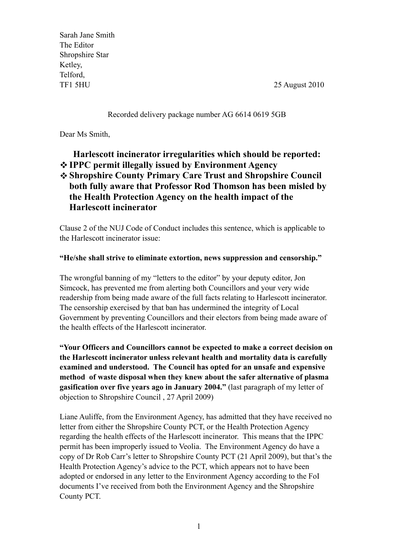Sarah Jane Smith The Editor Shropshire Star Ketley, Telford, TF1 5HU 25 August 2010

#### Recorded delivery package number AG 6614 0619 5GB

Dear Ms Smith,

### **Harlescott incinerator irregularities which should be reported: IPPC permit illegally issued by Environment Agency Shropshire County Primary Care Trust and Shropshire Council both fully aware that Professor Rod Thomson has been misled by the Health Protection Agency on the health impact of the Harlescott incinerator**

Clause 2 of the NUJ Code of Conduct includes this sentence, which is applicable to the Harlescott incinerator issue:

#### **"He/she shall strive to eliminate extortion, news suppression and censorship."**

The wrongful banning of my "letters to the editor" by your deputy editor, Jon Simcock, has prevented me from alerting both Councillors and your very wide readership from being made aware of the full facts relating to Harlescott incinerator. The censorship exercised by that ban has undermined the integrity of Local Government by preventing Councillors and their electors from being made aware of the health effects of the Harlescott incinerator.

**"Your Officers and Councillors cannot be expected to make a correct decision on the Harlescott incinerator unless relevant health and mortality data is carefully examined and understood. The Council has opted for an unsafe and expensive method of waste disposal when they knew about the safer alternative of plasma gasification over five years ago in January 2004."** (last paragraph of my letter of objection to Shropshire Council , 27 April 2009)

Liane Auliffe, from the Environment Agency, has admitted that they have received no letter from either the Shropshire County PCT, or the Health Protection Agency regarding the health effects of the Harlescott incinerator. This means that the IPPC permit has been improperly issued to Veolia. The Environment Agency do have a copy of Dr Rob Carr's letter to Shropshire County PCT (21 April 2009), but that's the Health Protection Agency's advice to the PCT, which appears not to have been adopted or endorsed in any letter to the Environment Agency according to the FoI documents I've received from both the Environment Agency and the Shropshire County PCT.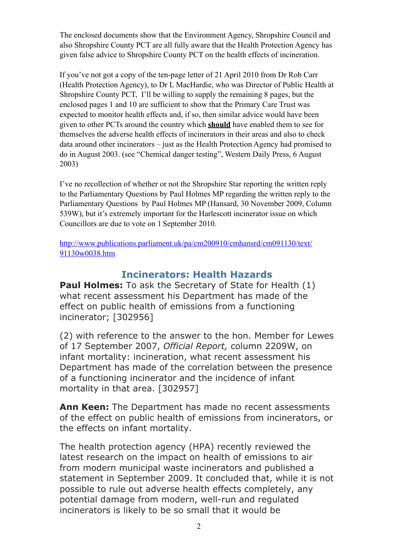The enclosed documents show that the Environment Agency, Shropshire Council and also Shropshire County PCT are all fully aware that the Health Protection Agency has given false advice to Shropshire County PCT on the health effects of incineration.

If you've not got a copy of the ten-page letter of 21 April 2010 from Dr Rob Carr (Health Protection Agency), to Dr L MacHardie, who was Director of Public Health at Shropshire County PCT, I'll be willing to supply the remaining 8 pages, but the enclosed pages 1 and 10 are sufficient to show that the Primary Care Trust was expected to monitor health effects and, if so, then similar advice would have been given to other PCTs around the country which **should** have enabled them to see for themselves the adverse health effects of incinerators in their areas and also to check data around other incinerators – just as the Health Protection Agency had promised to do in August 2003. (see "Chemical danger testing", Western Daily Press, 6 August 2003)

I've no recollection of whether or not the Shropshire Star reporting the written reply to the Parliamentary Questions by Paul Holmes MP regarding the written reply to the Parliamentary Questions by Paul Holmes MP (Hansard, 30 November 2009, Column 539W), but it's extremely important for the Harlescott incinerator issue on which Councillors are due to vote on 1 September 2010.

[http://www.publications.parliament.uk/pa/cm200910/cmhansrd/cm091130/text/](http://www.publications.parliament.uk/pa/cm200910/cmhansrd/cm091130/text/91130w0038.htm) [91130w0038.htm](http://www.publications.parliament.uk/pa/cm200910/cmhansrd/cm091130/text/91130w0038.htm)

### **Incinerators: Health Hazards**

**Paul Holmes:** To ask the Secretary of State for Health (1) what recent assessment his Department has made of the effect on public health of emissions from a functioning incinerator; [302956]

(2) with reference to the answer to the hon. Member for Lewes of 17 September 2007, *Official Report,* column 2209W, on infant mortality: incineration, what recent assessment his Department has made of the correlation between the presence of a functioning incinerator and the incidence of infant mortality in that area. [302957]

**Ann Keen:** The Department has made no recent assessments of the effect on public health of emissions from incinerators, or the effects on infant mortality.

The health protection agency (HPA) recently reviewed the latest research on the impact on health of emissions to air from modern municipal waste incinerators and published a statement in September 2009. It concluded that, while it is not possible to rule out adverse health effects completely, any potential damage from modern, well-run and regulated incinerators is likely to be so small that it would be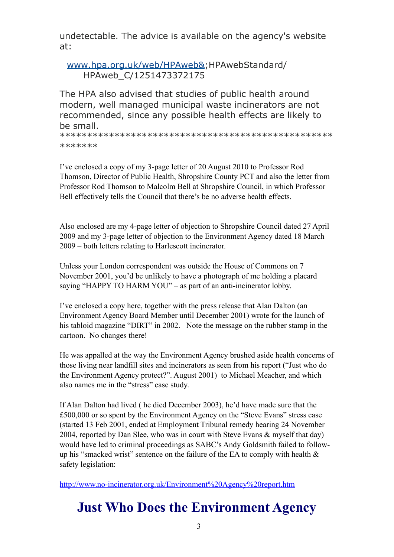undetectable. The advice is available on the agency's website at:

[www.hpa.org.uk/web/HPAweb&;](http://www.hpa.org.uk/web/HPAweb&)HPAwebStandard/ HPAweb\_C/1251473372175

The HPA also advised that studies of public health around modern, well managed municipal waste incinerators are not recommended, since any possible health effects are likely to be small.

\*\*\*\*\*\*\*\*\*\*\*\*\*\*\*\*\*\*\*\*\*\*\*\*\*\*\*\*\*\*\*\*\*\*\*\*\*\*\*\*\*\*\*\*\*\*\*\*\*\* \*\*\*\*\*\*\*

I've enclosed a copy of my 3-page letter of 20 August 2010 to Professor Rod Thomson, Director of Public Health, Shropshire County PCT and also the letter from Professor Rod Thomson to Malcolm Bell at Shropshire Council, in which Professor Bell effectively tells the Council that there's be no adverse health effects.

Also enclosed are my 4-page letter of objection to Shropshire Council dated 27 April 2009 and my 3-page letter of objection to the Environment Agency dated 18 March 2009 – both letters relating to Harlescott incinerator.

Unless your London correspondent was outside the House of Commons on 7 November 2001, you'd be unlikely to have a photograph of me holding a placard saying "HAPPY TO HARM YOU" – as part of an anti-incinerator lobby.

I've enclosed a copy here, together with the press release that Alan Dalton (an Environment Agency Board Member until December 2001) wrote for the launch of his tabloid magazine "DIRT" in 2002. Note the message on the rubber stamp in the cartoon. No changes there!

He was appalled at the way the Environment Agency brushed aside health concerns of those living near landfill sites and incinerators as seen from his report ("Just who do the Environment Agency protect?". August 2001) to Michael Meacher, and which also names me in the "stress" case study.

If Alan Dalton had lived ( he died December 2003), he'd have made sure that the £500,000 or so spent by the Environment Agency on the "Steve Evans" stress case (started 13 Feb 2001, ended at Employment Tribunal remedy hearing 24 November 2004, reported by Dan Slee, who was in court with Steve Evans & myself that day) would have led to criminal proceedings as SABC's Andy Goldsmith failed to followup his "smacked wrist" sentence on the failure of the EA to comply with health  $\&$ safety legislation:

<http://www.no-incinerator.org.uk/Environment%20Agency%20report.htm>

# **Just Who Does the Environment Agency**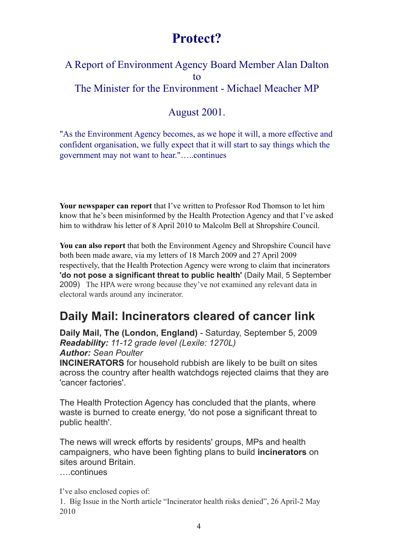## **Protect?**

### A Report of Environment Agency Board Member Alan Dalton to The Minister for the Environment - Michael Meacher MP

### August 2001.

"As the Environment Agency becomes, as we hope it will, a more effective and confident organisation, we fully expect that it will start to say things which the government may not want to hear."…..continues

**Your newspaper can report** that I've written to Professor Rod Thomson to let him know that he's been misinformed by the Health Protection Agency and that I've asked him to withdraw his letter of 8 April 2010 to Malcolm Bell at Shropshire Council.

**You can also report** that both the Environment Agency and Shropshire Council have both been made aware, via my letters of 18 March 2009 and 27 April 2009 respectively, that the Health Protection Agency were wrong to claim that incinerators **'do not pose a significant threat to public health'** (Daily Mail, 5 September 2009) The HPA were wrong because they've not examined any relevant data in electoral wards around any incinerator.

## **Daily Mail: Incinerators cleared of cancer link**

**Daily Mail, The (London, England)** - Saturday, September 5, 2009 *Readability: 11-12 grade level (Lexile: 1270L) Author: Sean Poulter*

**INCINERATORS** for household rubbish are likely to be built on sites across the country after health watchdogs rejected claims that they are 'cancer factories'.

The Health Protection Agency has concluded that the plants, where waste is burned to create energy, 'do not pose a significant threat to public health'.

The news will wreck efforts by residents' groups, MPs and health campaigners, who have been fighting plans to build **incinerators** on sites around Britain.

….continues

I've also enclosed copies of:

1. Big Issue in the North article "Incinerator health risks denied", 26 April-2 May 2010